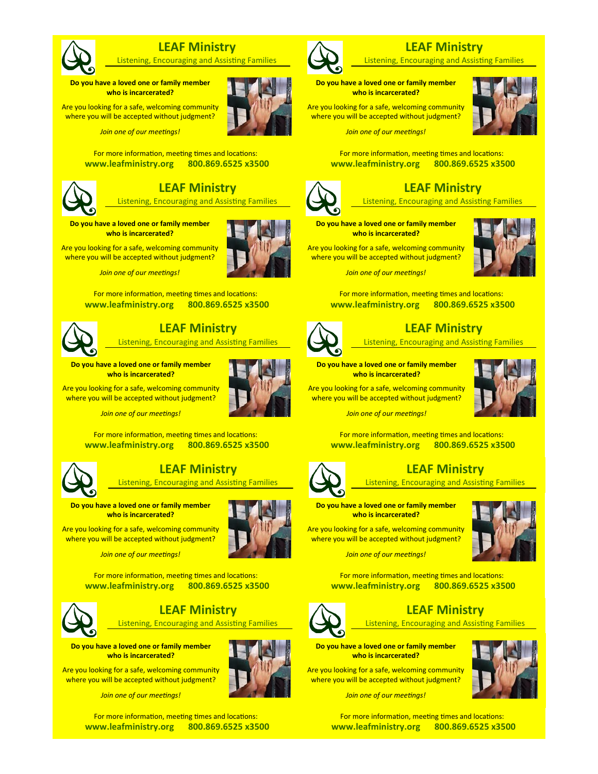

## **LEAF Ministry**

Listening, Encouraging and Assisting Families

**Do you have a loved one or family member who is incarcerated?**

Are you looking for a safe, welcoming community where you will be accepted without judgment?

*Join one of our meetings!*

For more information, meeting times and locations: **www.leafministry.org 800.869.6525 x3500** 



# **LEAF Ministry**

Listening, Encouraging and Assisting Families

#### **Do you have a loved one or family member who is incarcerated?**

Are you looking for a safe, welcoming community where you will be accepted without judgment?



For more information, meeting times and locations: **www.leafministry.org 800.869.6525 x3500** 



## **LEAF Ministry**

Listening, Encouraging and Assisting Families

**Do you have a loved one or family member who is incarcerated?**



Are you looking for a safe, welcoming community where you will be accepted without judgment?

*Join one of our meetings!*

For more information, meeting times and locations: **www.leafministry.org 800.869.6525 x3500** 



#### **LEAF Ministry**

Listening, Encouraging and Assisting Families

**Do you have a loved one or family member who is incarcerated?**

Are you looking for a safe, welcoming community where you will be accepted without judgment?

*Join one of our meetings!*

For more information, meeting times and locations: **www.leafministry.org 800.869.6525 x3500** 



## **LEAF Ministry**

Listening, Encouraging and Assisting Families

**Do you have a loved one or family member who is incarcerated?**

Are you looking for a safe, welcoming community where you will be accepted without judgment?

*Join one of our meetings!*

For more information, meeting times and locations: **www.leafministry.org 800.869.6525 x3500** 



## **LEAF Ministry**

Listening, Encouraging and Assisting Families

**Do you have a loved one or family member who is incarcerated?**

Are you looking for a safe, welcoming community where you will be accepted without judgment?



*Join one of our meetings!*

For more information, meeting times and locations: **www.leafministry.org 800.869.6525 x3500** 



# **LEAF Ministry**

Listening, Encouraging and Assisting Families

# **Do you have a loved one or family member**

**who is incarcerated?** Are you looking for a safe, welcoming community

where you will be accepted without judgment?

*Join one of our meetings!*

For more information, meeting times and locations: **www.leafministry.org 800.869.6525 x3500** 



# **LEAF Ministry**

Listening, Encouraging and Assisting Families

**Do you have a loved one or family member who is incarcerated?**

Are you looking for a safe, welcoming community where you will be accepted without judgment?



*Join one of our meetings!*

For more information, meeting times and locations: **www.leafministry.org 800.869.6525 x3500** 



## **LEAF Ministry**

Listening, Encouraging and Assisting Families

**Do you have a loved one or family member who is incarcerated?**

Are you looking for a safe, welcoming community where you will be accepted without judgment?

For more information, meeting times and locations: **www.leafministry.org 800.869.6525 x3500** 



## **LEAF Ministry**

Listening, Encouraging and Assisting Families

**Do you have a loved one or family member** 

**who is incarcerated?** Are you looking for a safe, welcoming community

where you will be accepted without judgment? *Join one of our meetings!*



For more information, meeting times and locations:

**www.leafministry.org 800.869.6525 x3500**